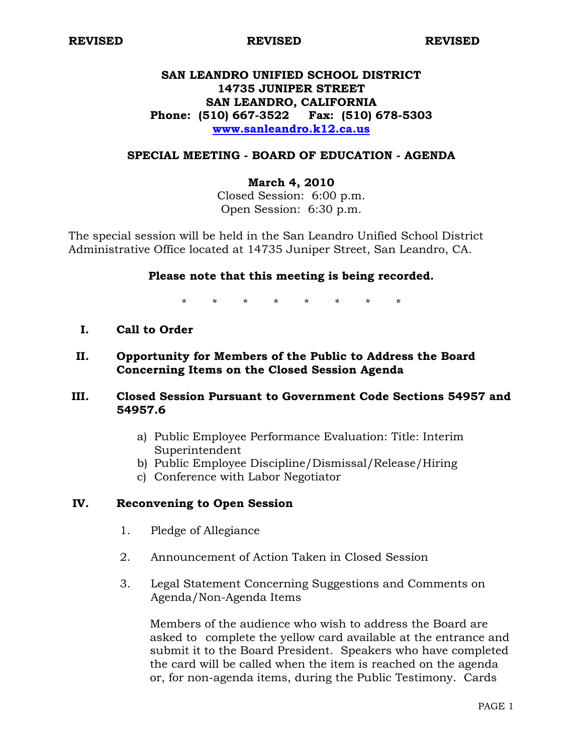**REVISED REVISED REVISED** 

## **SAN LEANDRO UNIFIED SCHOOL DISTRICT 14735 JUNIPER STREET SAN LEANDRO, CALIFORNIA Phone: (510) 667-3522 Fax: (510) 678-5303 [www.sanleandro.k12.ca.us](http://www.sanleandro.k12.ca.us/)**

### **SPECIAL MEETING - BOARD OF EDUCATION - AGENDA**

### **March 4, 2010**

Closed Session: 6:00 p.m. Open Session: 6:30 p.m.

The special session will be held in the San Leandro Unified School District Administrative Office located at 14735 Juniper Street, San Leandro, CA.

### **Please note that this meeting is being recorded.**

\* \* \* \* \* \* \* \*

- **I. Call to Order**
- **II. Opportunity for Members of the Public to Address the Board Concerning Items on the Closed Session Agenda**

## **III. Closed Session Pursuant to Government Code Sections 54957 and 54957.6**

- a) Public Employee Performance Evaluation: Title: Interim Superintendent
- b) Public Employee Discipline/Dismissal/Release/Hiring
- c) Conference with Labor Negotiator

### **IV. Reconvening to Open Session**

- 1. Pledge of Allegiance
- 2. Announcement of Action Taken in Closed Session
- 3. Legal Statement Concerning Suggestions and Comments on Agenda/Non-Agenda Items

 Members of the audience who wish to address the Board are asked to complete the yellow card available at the entrance and submit it to the Board President. Speakers who have completed the card will be called when the item is reached on the agenda or, for non-agenda items, during the Public Testimony. Cards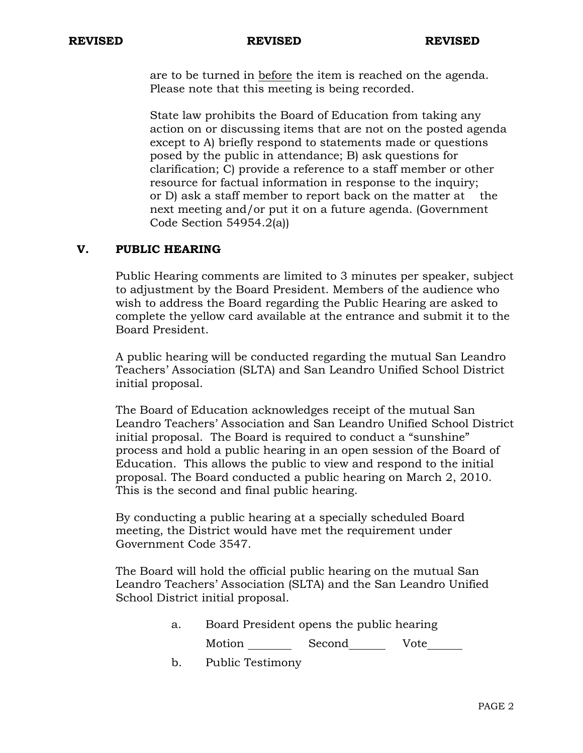#### **REVISED REVISED REVISED**

 are to be turned in before the item is reached on the agenda. Please note that this meeting is being recorded.

 State law prohibits the Board of Education from taking any action on or discussing items that are not on the posted agenda except to A) briefly respond to statements made or questions posed by the public in attendance; B) ask questions for clarification; C) provide a reference to a staff member or other resource for factual information in response to the inquiry; or D) ask a staff member to report back on the matter at the next meeting and/or put it on a future agenda. (Government Code Section 54954.2(a))

## **V. PUBLIC HEARING**

Public Hearing comments are limited to 3 minutes per speaker, subject to adjustment by the Board President. Members of the audience who wish to address the Board regarding the Public Hearing are asked to complete the yellow card available at the entrance and submit it to the Board President.

 A public hearing will be conducted regarding the mutual San Leandro Teachers' Association (SLTA) and San Leandro Unified School District initial proposal.

The Board of Education acknowledges receipt of the mutual San Leandro Teachers' Association and San Leandro Unified School District initial proposal. The Board is required to conduct a "sunshine" process and hold a public hearing in an open session of the Board of Education. This allows the public to view and respond to the initial proposal. The Board conducted a public hearing on March 2, 2010. This is the second and final public hearing.

By conducting a public hearing at a specially scheduled Board meeting, the District would have met the requirement under Government Code 3547.

The Board will hold the official public hearing on the mutual San Leandro Teachers' Association (SLTA) and the San Leandro Unified School District initial proposal.

- a. Board President opens the public hearing Motion Second Vote
- b. Public Testimony